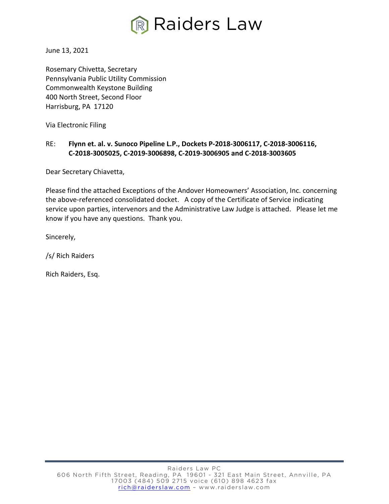

June 13, 2021

Rosemary Chivetta, Secretary Pennsylvania Public Utility Commission Commonwealth Keystone Building 400 North Street, Second Floor Harrisburg, PA 17120

Via Electronic Filing

## RE: **Flynn et. al. v. Sunoco Pipeline L.P., Dockets P-2018-3006117, C-2018-3006116, C-2018-3005025, C-2019-3006898, C-2019-3006905 and C-2018-3003605**

Dear Secretary Chiavetta,

Please find the attached Exceptions of the Andover Homeowners' Association, Inc. concerning the above-referenced consolidated docket. A copy of the Certificate of Service indicating service upon parties, intervenors and the Administrative Law Judge is attached. Please let me know if you have any questions. Thank you.

Sincerely,

/s/ Rich Raiders

Rich Raiders, Esq.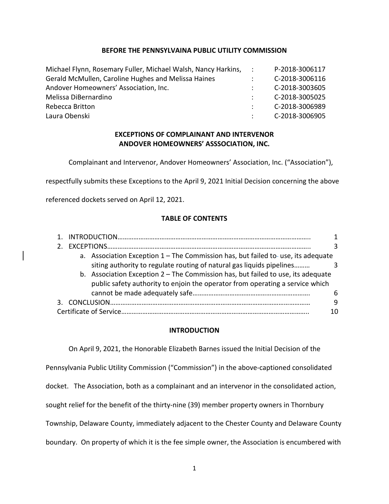#### **BEFORE THE PENNSYLVAINA PUBLIC UTILITY COMMISSION**

| Michael Flynn, Rosemary Fuller, Michael Walsh, Nancy Harkins, : | P-2018-3006117        |
|-----------------------------------------------------------------|-----------------------|
| Gerald McMullen, Caroline Hughes and Melissa Haines             | C-2018-3006116        |
| Andover Homeowners' Association, Inc.                           | C-2018-3003605        |
| Melissa DiBernardino                                            | C-2018-3005025        |
| Rebecca Britton                                                 | C-2018-3006989        |
| Laura Obenski                                                   | $\sim$ C-2018-3006905 |

## **EXCEPTIONS OF COMPLAINANT AND INTERVENOR ANDOVER HOMEOWNERS' ASSSOCIATION, INC.**

Complainant and Intervenor, Andover Homeowners' Association, Inc. ("Association"),

respectfully submits these Exceptions to the April 9, 2021 Initial Decision concerning the above

referenced dockets served on April 12, 2021.

### **TABLE OF CONTENTS**

|                                                                                    | ζ  |
|------------------------------------------------------------------------------------|----|
| a. Association Exception $1$ – The Commission has, but failed to-use, its adequate |    |
|                                                                                    |    |
| b. Association Exception $2$ – The Commission has, but failed to use, its adequate |    |
| public safety authority to enjoin the operator from operating a service which      |    |
|                                                                                    | 6  |
|                                                                                    | 9  |
|                                                                                    | 10 |

### **INTRODUCTION**

On April 9, 2021, the Honorable Elizabeth Barnes issued the Initial Decision of the Pennsylvania Public Utility Commission ("Commission") in the above-captioned consolidated docket. The Association, both as a complainant and an intervenor in the consolidated action, sought relief for the benefit of the thirty-nine (39) member property owners in Thornbury Township, Delaware County, immediately adjacent to the Chester County and Delaware County boundary. On property of which it is the fee simple owner, the Association is encumbered with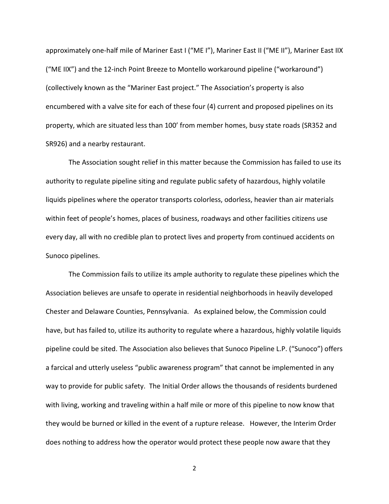approximately one-half mile of Mariner East I ("ME I"), Mariner East II ("ME II"), Mariner East IIX ("ME IIX") and the 12-inch Point Breeze to Montello workaround pipeline ("workaround") (collectively known as the "Mariner East project." The Association's property is also encumbered with a valve site for each of these four (4) current and proposed pipelines on its property, which are situated less than 100' from member homes, busy state roads (SR352 and SR926) and a nearby restaurant.

The Association sought relief in this matter because the Commission has failed to use its authority to regulate pipeline siting and regulate public safety of hazardous, highly volatile liquids pipelines where the operator transports colorless, odorless, heavier than air materials within feet of people's homes, places of business, roadways and other facilities citizens use every day, all with no credible plan to protect lives and property from continued accidents on Sunoco pipelines.

The Commission fails to utilize its ample authority to regulate these pipelines which the Association believes are unsafe to operate in residential neighborhoods in heavily developed Chester and Delaware Counties, Pennsylvania. As explained below, the Commission could have, but has failed to, utilize its authority to regulate where a hazardous, highly volatile liquids pipeline could be sited. The Association also believes that Sunoco Pipeline L.P. ("Sunoco") offers a farcical and utterly useless "public awareness program" that cannot be implemented in any way to provide for public safety. The Initial Order allows the thousands of residents burdened with living, working and traveling within a half mile or more of this pipeline to now know that they would be burned or killed in the event of a rupture release. However, the Interim Order does nothing to address how the operator would protect these people now aware that they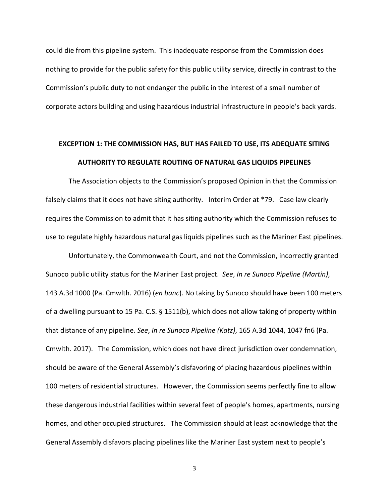could die from this pipeline system. This inadequate response from the Commission does nothing to provide for the public safety for this public utility service, directly in contrast to the Commission's public duty to not endanger the public in the interest of a small number of corporate actors building and using hazardous industrial infrastructure in people's back yards.

# **EXCEPTION 1: THE COMMISSION HAS, BUT HAS FAILED TO USE, ITS ADEQUATE SITING AUTHORITY TO REGULATE ROUTING OF NATURAL GAS LIQUIDS PIPELINES**

The Association objects to the Commission's proposed Opinion in that the Commission falsely claims that it does not have siting authority. Interim Order at \*79. Case law clearly requires the Commission to admit that it has siting authority which the Commission refuses to use to regulate highly hazardous natural gas liquids pipelines such as the Mariner East pipelines.

Unfortunately, the Commonwealth Court, and not the Commission, incorrectly granted Sunoco public utility status for the Mariner East project. *See*, *In re Sunoco Pipeline (Martin)*, 143 A.3d 1000 (Pa. Cmwlth. 2016) (*en banc*). No taking by Sunoco should have been 100 meters of a dwelling pursuant to 15 Pa. C.S. § 1511(b), which does not allow taking of property within that distance of any pipeline. *See*, *In re Sunoco Pipeline (Katz)*, 165 A.3d 1044, 1047 fn6 (Pa. Cmwlth. 2017). The Commission, which does not have direct jurisdiction over condemnation, should be aware of the General Assembly's disfavoring of placing hazardous pipelines within 100 meters of residential structures. However, the Commission seems perfectly fine to allow these dangerous industrial facilities within several feet of people's homes, apartments, nursing homes, and other occupied structures. The Commission should at least acknowledge that the General Assembly disfavors placing pipelines like the Mariner East system next to people's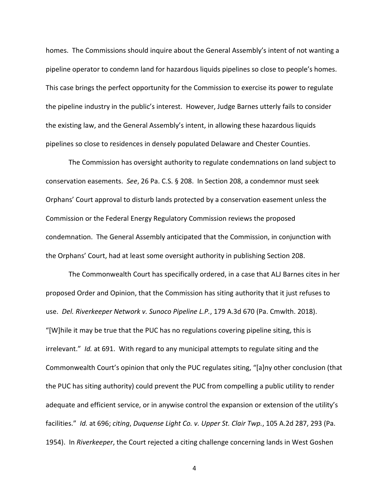homes. The Commissions should inquire about the General Assembly's intent of not wanting a pipeline operator to condemn land for hazardous liquids pipelines so close to people's homes. This case brings the perfect opportunity for the Commission to exercise its power to regulate the pipeline industry in the public's interest. However, Judge Barnes utterly fails to consider the existing law, and the General Assembly's intent, in allowing these hazardous liquids pipelines so close to residences in densely populated Delaware and Chester Counties.

The Commission has oversight authority to regulate condemnations on land subject to conservation easements. *See*, 26 Pa. C.S. § 208. In Section 208, a condemnor must seek Orphans' Court approval to disturb lands protected by a conservation easement unless the Commission or the Federal Energy Regulatory Commission reviews the proposed condemnation. The General Assembly anticipated that the Commission, in conjunction with the Orphans' Court, had at least some oversight authority in publishing Section 208.

The Commonwealth Court has specifically ordered, in a case that ALJ Barnes cites in her proposed Order and Opinion, that the Commission has siting authority that it just refuses to use. *Del. Riverkeeper Network v. Sunoco Pipeline L.P.*, 179 A.3d 670 (Pa. Cmwlth. 2018). "[W]hile it may be true that the PUC has no regulations covering pipeline siting, this is irrelevant." *Id.* at 691. With regard to any municipal attempts to regulate siting and the Commonwealth Court's opinion that only the PUC regulates siting, "[a]ny other conclusion (that the PUC has siting authority) could prevent the PUC from compelling a public utility to render adequate and efficient service, or in anywise control the expansion or extension of the utility's facilities." *Id.* at 696; *citing*, *Duquense Light Co. v. Upper St. Clair Twp.*, 105 A.2d 287, 293 (Pa. 1954). In *Riverkeeper*, the Court rejected a citing challenge concerning lands in West Goshen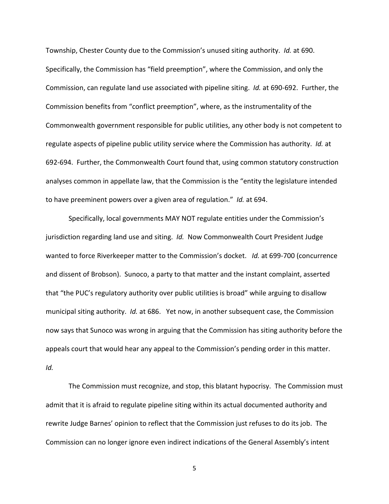Township, Chester County due to the Commission's unused siting authority. *Id.* at 690. Specifically, the Commission has "field preemption", where the Commission, and only the Commission, can regulate land use associated with pipeline siting. *Id.* at 690-692. Further, the Commission benefits from "conflict preemption", where, as the instrumentality of the Commonwealth government responsible for public utilities, any other body is not competent to regulate aspects of pipeline public utility service where the Commission has authority. *Id.* at 692-694. Further, the Commonwealth Court found that, using common statutory construction analyses common in appellate law, that the Commission is the "entity the legislature intended to have preeminent powers over a given area of regulation." *Id.* at 694.

Specifically, local governments MAY NOT regulate entities under the Commission's jurisdiction regarding land use and siting. *Id.* Now Commonwealth Court President Judge wanted to force Riverkeeper matter to the Commission's docket. *Id.* at 699-700 (concurrence and dissent of Brobson). Sunoco, a party to that matter and the instant complaint, asserted that "the PUC's regulatory authority over public utilities is broad" while arguing to disallow municipal siting authority. *Id.* at 686. Yet now, in another subsequent case, the Commission now says that Sunoco was wrong in arguing that the Commission has siting authority before the appeals court that would hear any appeal to the Commission's pending order in this matter. *Id.*

The Commission must recognize, and stop, this blatant hypocrisy. The Commission must admit that it is afraid to regulate pipeline siting within its actual documented authority and rewrite Judge Barnes' opinion to reflect that the Commission just refuses to do its job. The Commission can no longer ignore even indirect indications of the General Assembly's intent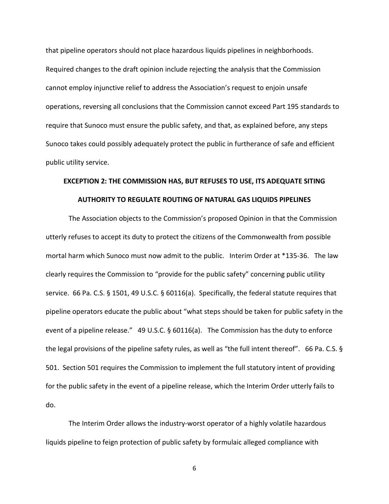that pipeline operators should not place hazardous liquids pipelines in neighborhoods. Required changes to the draft opinion include rejecting the analysis that the Commission cannot employ injunctive relief to address the Association's request to enjoin unsafe operations, reversing all conclusions that the Commission cannot exceed Part 195 standards to require that Sunoco must ensure the public safety, and that, as explained before, any steps Sunoco takes could possibly adequately protect the public in furtherance of safe and efficient public utility service.

## **EXCEPTION 2: THE COMMISSION HAS, BUT REFUSES TO USE, ITS ADEQUATE SITING AUTHORITY TO REGULATE ROUTING OF NATURAL GAS LIQUIDS PIPELINES**

The Association objects to the Commission's proposed Opinion in that the Commission utterly refuses to accept its duty to protect the citizens of the Commonwealth from possible mortal harm which Sunoco must now admit to the public. Interim Order at \*135-36. The law clearly requires the Commission to "provide for the public safety" concerning public utility service. 66 Pa. C.S. § 1501, 49 U.S.C. § 60116(a). Specifically, the federal statute requires that pipeline operators educate the public about "what steps should be taken for public safety in the event of a pipeline release." 49 U.S.C. § 60116(a). The Commission has the duty to enforce the legal provisions of the pipeline safety rules, as well as "the full intent thereof". 66 Pa. C.S. § 501. Section 501 requires the Commission to implement the full statutory intent of providing for the public safety in the event of a pipeline release, which the Interim Order utterly fails to do.

The Interim Order allows the industry-worst operator of a highly volatile hazardous liquids pipeline to feign protection of public safety by formulaic alleged compliance with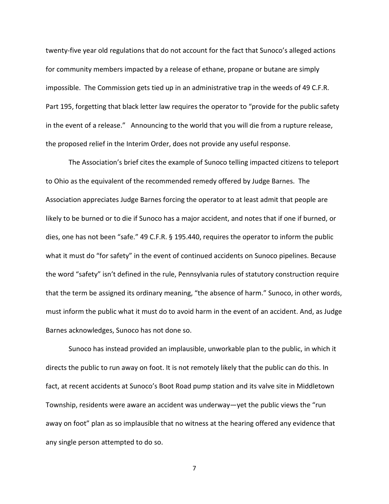twenty-five year old regulations that do not account for the fact that Sunoco's alleged actions for community members impacted by a release of ethane, propane or butane are simply impossible. The Commission gets tied up in an administrative trap in the weeds of 49 C.F.R. Part 195, forgetting that black letter law requires the operator to "provide for the public safety in the event of a release." Announcing to the world that you will die from a rupture release, the proposed relief in the Interim Order, does not provide any useful response.

The Association's brief cites the example of Sunoco telling impacted citizens to teleport to Ohio as the equivalent of the recommended remedy offered by Judge Barnes. The Association appreciates Judge Barnes forcing the operator to at least admit that people are likely to be burned or to die if Sunoco has a major accident, and notes that if one if burned, or dies, one has not been "safe." 49 C.F.R. § 195.440, requires the operator to inform the public what it must do "for safety" in the event of continued accidents on Sunoco pipelines. Because the word "safety" isn't defined in the rule, Pennsylvania rules of statutory construction require that the term be assigned its ordinary meaning, "the absence of harm." Sunoco, in other words, must inform the public what it must do to avoid harm in the event of an accident. And, as Judge Barnes acknowledges, Sunoco has not done so.

Sunoco has instead provided an implausible, unworkable plan to the public, in which it directs the public to run away on foot. It is not remotely likely that the public can do this. In fact, at recent accidents at Sunoco's Boot Road pump station and its valve site in Middletown Township, residents were aware an accident was underway—yet the public views the "run away on foot" plan as so implausible that no witness at the hearing offered any evidence that any single person attempted to do so.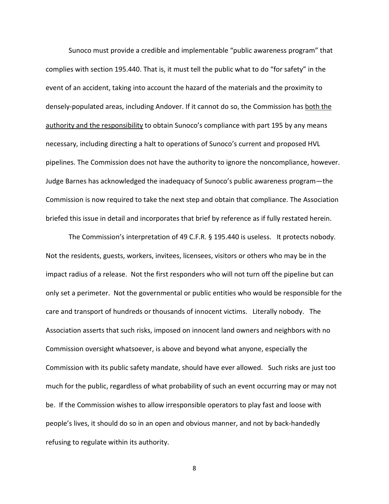Sunoco must provide a credible and implementable "public awareness program" that complies with section 195.440. That is, it must tell the public what to do "for safety" in the event of an accident, taking into account the hazard of the materials and the proximity to densely-populated areas, including Andover. If it cannot do so, the Commission has both the authority and the responsibility to obtain Sunoco's compliance with part 195 by any means necessary, including directing a halt to operations of Sunoco's current and proposed HVL pipelines. The Commission does not have the authority to ignore the noncompliance, however. Judge Barnes has acknowledged the inadequacy of Sunoco's public awareness program—the Commission is now required to take the next step and obtain that compliance. The Association briefed this issue in detail and incorporates that brief by reference as if fully restated herein.

The Commission's interpretation of 49 C.F.R. § 195.440 is useless. It protects nobody. Not the residents, guests, workers, invitees, licensees, visitors or others who may be in the impact radius of a release. Not the first responders who will not turn off the pipeline but can only set a perimeter. Not the governmental or public entities who would be responsible for the care and transport of hundreds or thousands of innocent victims. Literally nobody. The Association asserts that such risks, imposed on innocent land owners and neighbors with no Commission oversight whatsoever, is above and beyond what anyone, especially the Commission with its public safety mandate, should have ever allowed. Such risks are just too much for the public, regardless of what probability of such an event occurring may or may not be. If the Commission wishes to allow irresponsible operators to play fast and loose with people's lives, it should do so in an open and obvious manner, and not by back-handedly refusing to regulate within its authority.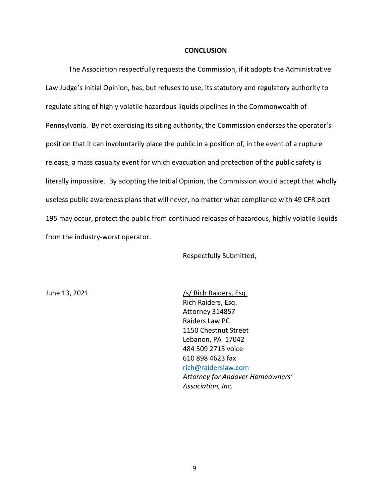#### **CONCLUSION**

The Association respectfully requests the Commission, if it adopts the Administrative Law Judge's Initial Opinion, has, but refuses to use, its statutory and regulatory authority to regulate siting of highly volatile hazardous liquids pipelines in the Commonwealth of Pennsylvania. By not exercising its siting authority, the Commission endorses the operator's position that it can involuntarily place the public in a position of, in the event of a rupture release, a mass casualty event for which evacuation and protection of the public safety is literally impossible. By adopting the Initial Opinion, the Commission would accept that wholly useless public awareness plans that will never, no matter what compliance with 49 CFR part 195 may occur, protect the public from continued releases of hazardous, highly volatile liquids from the industry-worst operator.

Respectfully Submitted,

June 13, 2021  $\sqrt{s}$  Rich Raiders, Esq. Rich Raiders, Esq. Attorney 314857 Raiders Law PC 1150 Chestnut Street Lebanon, PA 17042 484 509 2715 voice 610 898 4623 fax [rich@raiderslaw.com](mailto:rich@raiderslaw.com) *Attorney for Andover Homeowners' Association, Inc.*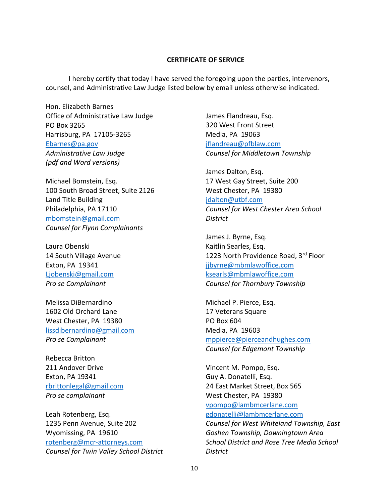#### **CERTIFICATE OF SERVICE**

I hereby certify that today I have served the foregoing upon the parties, intervenors, counsel, and Administrative Law Judge listed below by email unless otherwise indicated.

Hon. Elizabeth Barnes Office of Administrative Law Judge PO Box 3265 Harrisburg, PA 17105-3265 [Ebarnes@pa.gov](mailto:Ebarnes@pa.gov) *Administrative Law Judge (pdf and Word versions)*

Michael Bomstein, Esq. 100 South Broad Street, Suite 2126 Land Title Building Philadelphia, PA 17110 [mbomstein@gmail.com](mailto:mbomstein@gmail.com) *Counsel for Flynn Complainants*

Laura Obenski 14 South Village Avenue Exton, PA 19341 [Ljobenski@gmail.com](mailto:Ljobenski@gmail.com) *Pro se Complainant*

Melissa DiBernardino 1602 Old Orchard Lane West Chester, PA 19380 [lissdibernardino@gmail.com](mailto:lissdibernardino@gmail.com) *Pro se Complainant*

Rebecca Britton 211 Andover Drive Exton, PA 19341 [rbrittonlegal@gmail.com](mailto:rbrittonlegal@gmail.com) *Pro se complainant*

Leah Rotenberg, Esq. 1235 Penn Avenue, Suite 202 Wyomissing, PA 19610 [rotenberg@mcr-attorneys.com](mailto:rotenberg@mcr-attorneys.com) *Counsel for Twin Valley School District* James Flandreau, Esq. 320 West Front Street Media, PA 19063 [jflandreau@pfblaw.com](mailto:jflandreau@pfblaw.com) *Counsel for Middletown Township*

James Dalton, Esq. 17 West Gay Street, Suite 200 West Chester, PA 19380 [jdalton@utbf.com](mailto:jdalton@utbf.com) *Counsel for West Chester Area School District*

James J. Byrne, Esq. Kaitlin Searles, Esq. 1223 North Providence Road, 3rd Floor [jjbyrne@mbmlawoffice.com](mailto:jjbyrne@mbmlawoffice.com) [ksearls@mbmlawoffice.com](mailto:ksearls@mbmlawoffice.com) *Counsel for Thornbury Township*

Michael P. Pierce, Esq. 17 Veterans Square PO Box 604 Media, PA 19603 [mppierce@pierceandhughes.com](mailto:mppierce@pierceandhughes.com) *Counsel for Edgemont Township*

Vincent M. Pompo, Esq. Guy A. Donatelli, Esq. 24 East Market Street, Box 565 West Chester, PA 19380 [vpompo@lambmcerlane.com](mailto:vpompo@lambmcerlane.com) [gdonatelli@lambmcerlane.com](mailto:gdonatelli@lambmcerlane.com) *Counsel for West Whiteland Township, East Goshen Township, Downingtown Area School District and Rose Tree Media School District*